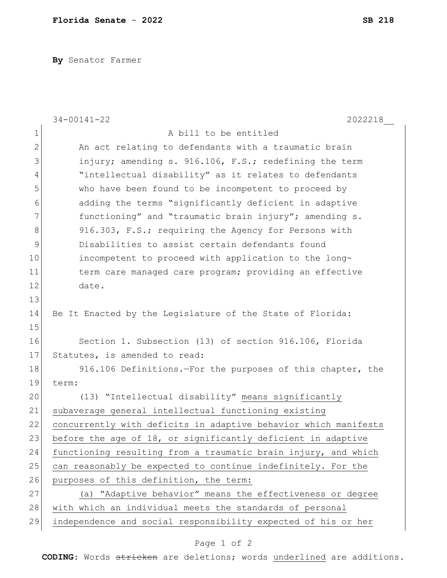**By** Senator Farmer

|              | $34 - 00141 - 22$<br>2022218                                    |
|--------------|-----------------------------------------------------------------|
| 1            | A bill to be entitled                                           |
| $\mathbf{2}$ | An act relating to defendants with a traumatic brain            |
| 3            | injury; amending s. 916.106, F.S.; redefining the term          |
| 4            | "intellectual disability" as it relates to defendants           |
| 5            | who have been found to be incompetent to proceed by             |
| 6            | adding the terms "significantly deficient in adaptive           |
| 7            | functioning" and "traumatic brain injury"; amending s.          |
| 8            | 916.303, F.S.; requiring the Agency for Persons with            |
| 9            | Disabilities to assist certain defendants found                 |
| 10           | incompetent to proceed with application to the long-            |
| 11           | term care managed care program; providing an effective          |
| 12           | date.                                                           |
| 13           |                                                                 |
| 14           | Be It Enacted by the Legislature of the State of Florida:       |
| 15           |                                                                 |
| 16           | Section 1. Subsection (13) of section 916.106, Florida          |
| 17           | Statutes, is amended to read:                                   |
| 18           | 916.106 Definitions. - For the purposes of this chapter, the    |
| 19           | term:                                                           |
| 20           | (13) "Intellectual disability" means significantly              |
| 21           | subaverage general intellectual functioning existing            |
| 22           | concurrently with deficits in adaptive behavior which manifests |
| 23           | before the age of 18, or significantly deficient in adaptive    |
| 24           | functioning resulting from a traumatic brain injury, and which  |
| 25           | can reasonably be expected to continue indefinitely. For the    |
| 26           | purposes of this definition, the term:                          |
| 27           | (a) "Adaptive behavior" means the effectiveness or degree       |
| 28           | with which an individual meets the standards of personal        |
| 29           | independence and social responsibility expected of his or her   |

## Page 1 of 2

**CODING**: Words stricken are deletions; words underlined are additions.